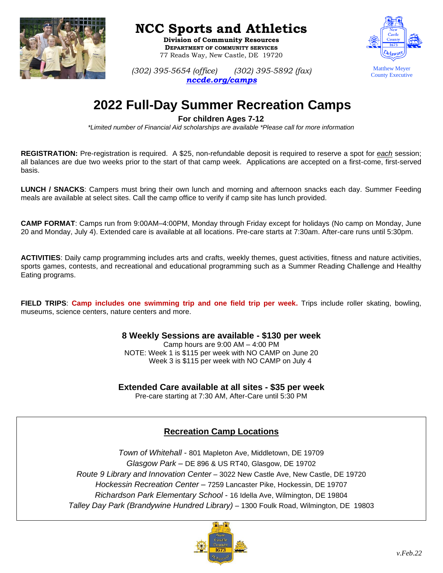

## **NCC Sports and Athletics**

**Division of Community Resources DEPARTMENT OF COMMUNITY SERVICES** 77 Reads Way, New Castle, DE 19720



*(302) 395-5654 (office) (302) 395-5892 (fax) [nccde.org/camps](http://sports.nccde.org/)*

# **2022 Full-Day Summer Recreation Camps**

#### **For children Ages 7-12**

*\*Limited number of Financial Aid scholarships are available \*Please call for more information*

**REGISTRATION:** Pre-registration is required. A \$25, non-refundable deposit is required to reserve a spot for *each* session; all balances are due two weeks prior to the start of that camp week. Applications are accepted on a first-come, first-served basis.

**LUNCH / SNACKS**: Campers must bring their own lunch and morning and afternoon snacks each day. Summer Feeding meals are available at select sites. Call the camp office to verify if camp site has lunch provided.

**CAMP FORMAT**: Camps run from 9:00AM–4:00PM, Monday through Friday except for holidays (No camp on Monday, June 20 and Monday, July 4). Extended care is available at all locations. Pre-care starts at 7:30am. After-care runs until 5:30pm.

**ACTIVITIES**: Daily camp programming includes arts and crafts, weekly themes, guest activities, fitness and nature activities, sports games, contests, and recreational and educational programming such as a Summer Reading Challenge and Healthy Eating programs.

**FIELD TRIPS**: **Camp includes one swimming trip and one field trip per week.** Trips include roller skating, bowling, museums, science centers, nature centers and more.

> **8 Weekly Sessions are available - \$130 per week** Camp hours are 9:00 AM – 4:00 PM NOTE: Week 1 is \$115 per week with NO CAMP on June 20 Week 3 is \$115 per week with NO CAMP on July 4

**Extended Care available at all sites - \$35 per week**

Pre-care starting at 7:30 AM, After-Care until 5:30 PM

### **Recreation Camp Locations**

*Town of Whitehall* - 801 Mapleton Ave, Middletown, DE 19709 *Glasgow Park* – DE 896 & US RT40, Glasgow, DE 19702 *Route 9 Library and Innovation Center* – 3022 New Castle Ave, New Castle, DE 19720 *Hockessin Recreation Center –* 7259 Lancaster Pike, Hockessin, DE 19707 *Richardson Park Elementary School* - 16 Idella Ave, Wilmington, DE 19804 *Talley Day Park (Brandywine Hundred Library)* – 1300 Foulk Road, Wilmington, DE 19803